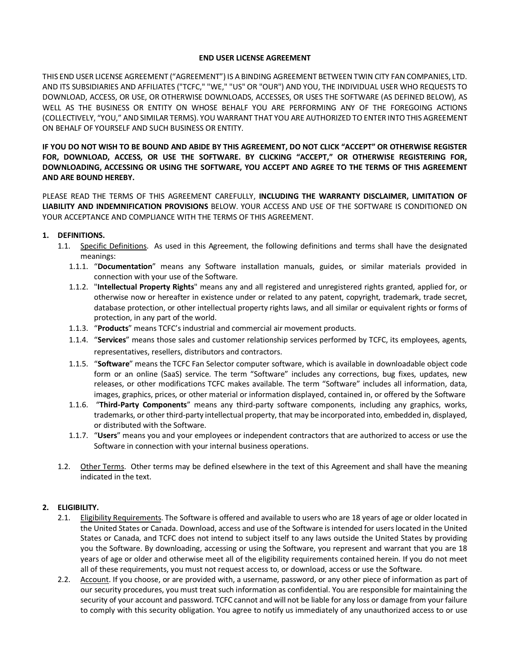## **END USER LICENSE AGREEMENT**

THIS END USER LICENSE AGREEMENT ("AGREEMENT") IS A BINDING AGREEMENT BETWEEN TWIN CITY FAN COMPANIES, LTD. AND ITS SUBSIDIARIES AND AFFILIATES ("TCFC," "WE," "US" OR "OUR") AND YOU, THE INDIVIDUAL USER WHO REQUESTS TO DOWNLOAD, ACCESS, OR USE, OR OTHERWISE DOWNLOADS, ACCESSES, OR USES THE SOFTWARE (AS DEFINED BELOW), AS WELL AS THE BUSINESS OR ENTITY ON WHOSE BEHALF YOU ARE PERFORMING ANY OF THE FOREGOING ACTIONS (COLLECTIVELY, "YOU," AND SIMILAR TERMS). YOU WARRANT THAT YOU ARE AUTHORIZED TO ENTER INTO THIS AGREEMENT ON BEHALF OF YOURSELF AND SUCH BUSINESS OR ENTITY.

**IF YOU DO NOT WISH TO BE BOUND AND ABIDE BY THIS AGREEMENT, DO NOT CLICK "ACCEPT" OR OTHERWISE REGISTER FOR, DOWNLOAD, ACCESS, OR USE THE SOFTWARE. BY CLICKING "ACCEPT," OR OTHERWISE REGISTERING FOR, DOWNLOADING, ACCESSING OR USING THE SOFTWARE, YOU ACCEPT AND AGREE TO THE TERMS OF THIS AGREEMENT AND ARE BOUND HEREBY.** 

PLEASE READ THE TERMS OF THIS AGREEMENT CAREFULLY, **INCLUDING THE WARRANTY DISCLAIMER, LIMITATION OF LIABILITY AND INDEMNIFICATION PROVISIONS** BELOW. YOUR ACCESS AND USE OF THE SOFTWARE IS CONDITIONED ON YOUR ACCEPTANCE AND COMPLIANCE WITH THE TERMS OF THIS AGREEMENT.

#### **1. DEFINITIONS.**

- 1.1. Specific Definitions. As used in this Agreement, the following definitions and terms shall have the designated meanings:
	- 1.1.1. "**Documentation**" means any Software installation manuals, guides, or similar materials provided in connection with your use of the Software.
	- 1.1.2. "**Intellectual Property Rights**" means any and all registered and unregistered rights granted, applied for, or otherwise now or hereafter in existence under or related to any patent, copyright, trademark, trade secret, database protection, or other intellectual property rights laws, and all similar or equivalent rights or forms of protection, in any part of the world.
	- 1.1.3. "**Products**" means TCFC's industrial and commercial air movement products.
	- 1.1.4. "**Services**" means those sales and customer relationship services performed by TCFC, its employees, agents, representatives, resellers, distributors and contractors.
	- 1.1.5. "**Software**" means the TCFC Fan Selector computer software, which is available in downloadable object code form or an online (SaaS) service. The term "Software" includes any corrections, bug fixes, updates, new releases, or other modifications TCFC makes available. The term "Software" includes all information, data, images, graphics, prices, or other material or information displayed, contained in, or offered by the Software
	- 1.1.6. "**Third-Party Components**" means any third-party software components, including any graphics, works, trademarks, or other third-party intellectual property, that may be incorporated into, embedded in, displayed, or distributed with the Software.
	- 1.1.7. "**Users**" means you and your employees or independent contractors that are authorized to access or use the Software in connection with your internal business operations.
- 1.2. Other Terms. Other terms may be defined elsewhere in the text of this Agreement and shall have the meaning indicated in the text.

## **2. ELIGIBILITY.**

- 2.1. Eligibility Requirements. The Software is offered and available to users who are 18 years of age or older located in the United States or Canada. Download, access and use of the Software is intended for users located in the United States or Canada, and TCFC does not intend to subject itself to any laws outside the United States by providing you the Software. By downloading, accessing or using the Software, you represent and warrant that you are 18 years of age or older and otherwise meet all of the eligibility requirements contained herein. If you do not meet all of these requirements, you must not request access to, or download, access or use the Software.
- 2.2. Account. If you choose, or are provided with, a username, password, or any other piece of information as part of our security procedures, you must treat such information as confidential. You are responsible for maintaining the security of your account and password. TCFC cannot and will not be liable for any loss or damage from your failure to comply with this security obligation. You agree to notify us immediately of any unauthorized access to or use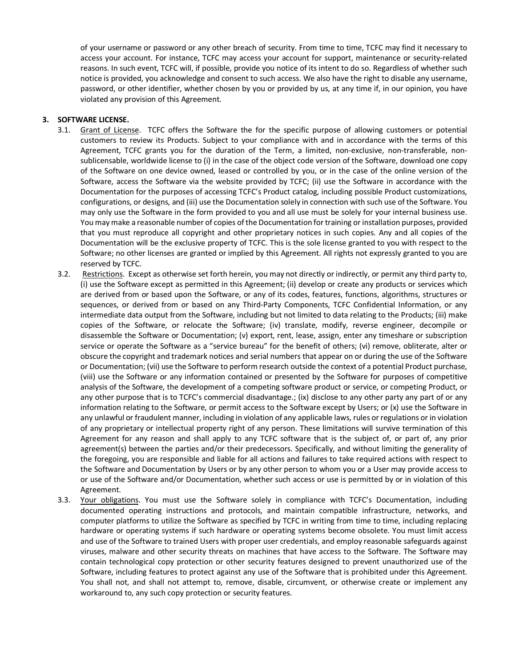of your username or password or any other breach of security. From time to time, TCFC may find it necessary to access your account. For instance, TCFC may access your account for support, maintenance or security-related reasons. In such event, TCFC will, if possible, provide you notice of its intent to do so. Regardless of whether such notice is provided, you acknowledge and consent to such access. We also have the right to disable any username, password, or other identifier, whether chosen by you or provided by us, at any time if, in our opinion, you have violated any provision of this Agreement.

# **3. SOFTWARE LICENSE.**

- 3.1. Grant of License. TCFC offers the Software the for the specific purpose of allowing customers or potential customers to review its Products. Subject to your compliance with and in accordance with the terms of this Agreement, TCFC grants you for the duration of the Term, a limited, non-exclusive, non-transferable, nonsublicensable, worldwide license to (i) in the case of the object code version of the Software, download one copy of the Software on one device owned, leased or controlled by you, or in the case of the online version of the Software, access the Software via the website provided by TCFC; (ii) use the Software in accordance with the Documentation for the purposes of accessing TCFC's Product catalog, including possible Product customizations, configurations, or designs, and (iii) use the Documentation solely in connection with such use of the Software. You may only use the Software in the form provided to you and all use must be solely for your internal business use. You may make a reasonable number of copies of the Documentation for training or installation purposes, provided that you must reproduce all copyright and other proprietary notices in such copies. Any and all copies of the Documentation will be the exclusive property of TCFC. This is the sole license granted to you with respect to the Software; no other licenses are granted or implied by this Agreement. All rights not expressly granted to you are reserved by TCFC.
- 3.2. Restrictions. Except as otherwise set forth herein, you may not directly or indirectly, or permit any third party to, (i) use the Software except as permitted in this Agreement; (ii) develop or create any products or services which are derived from or based upon the Software, or any of its codes, features, functions, algorithms, structures or sequences, or derived from or based on any Third-Party Components, TCFC Confidential Information, or any intermediate data output from the Software, including but not limited to data relating to the Products; (iii) make copies of the Software, or relocate the Software; (iv) translate, modify, reverse engineer, decompile or disassemble the Software or Documentation; (v) export, rent, lease, assign, enter any timeshare or subscription service or operate the Software as a "service bureau" for the benefit of others; (vi) remove, obliterate, alter or obscure the copyright and trademark notices and serial numbers that appear on or during the use of the Software or Documentation; (vii) use the Software to perform research outside the context of a potential Product purchase, (viii) use the Software or any information contained or presented by the Software for purposes of competitive analysis of the Software, the development of a competing software product or service, or competing Product, or any other purpose that is to TCFC's commercial disadvantage.; (ix) disclose to any other party any part of or any information relating to the Software, or permit access to the Software except by Users; or (x) use the Software in any unlawful or fraudulent manner, including in violation of any applicable laws, rules or regulations or in violation of any proprietary or intellectual property right of any person. These limitations will survive termination of this Agreement for any reason and shall apply to any TCFC software that is the subject of, or part of, any prior agreement(s) between the parties and/or their predecessors. Specifically, and without limiting the generality of the foregoing, you are responsible and liable for all actions and failures to take required actions with respect to the Software and Documentation by Users or by any other person to whom you or a User may provide access to or use of the Software and/or Documentation, whether such access or use is permitted by or in violation of this Agreement.
- 3.3. Your obligations. You must use the Software solely in compliance with TCFC's Documentation, including documented operating instructions and protocols, and maintain compatible infrastructure, networks, and computer platforms to utilize the Software as specified by TCFC in writing from time to time, including replacing hardware or operating systems if such hardware or operating systems become obsolete. You must limit access and use of the Software to trained Users with proper user credentials, and employ reasonable safeguards against viruses, malware and other security threats on machines that have access to the Software. The Software may contain technological copy protection or other security features designed to prevent unauthorized use of the Software, including features to protect against any use of the Software that is prohibited under this Agreement. You shall not, and shall not attempt to, remove, disable, circumvent, or otherwise create or implement any workaround to, any such copy protection or security features.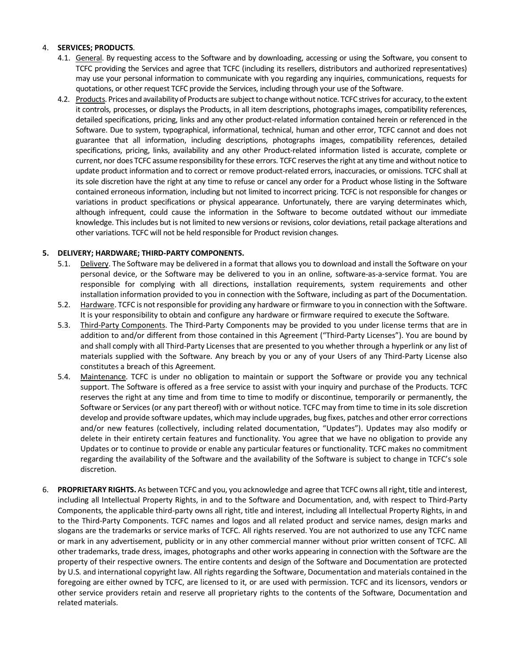# 4. **SERVICES; PRODUCTS**.

- 4.1. General. By requesting access to the Software and by downloading, accessing or using the Software, you consent to TCFC providing the Services and agree that TCFC (including its resellers, distributors and authorized representatives) may use your personal information to communicate with you regarding any inquiries, communications, requests for quotations, or other request TCFC provide the Services, including through your use of the Software.
- 4.2. Products. Prices and availability of Products are subject to change without notice. TCFC strives for accuracy, to the extent it controls, processes, or displays the Products, in all item descriptions, photographs images, compatibility references, detailed specifications, pricing, links and any other product-related information contained herein or referenced in the Software. Due to system, typographical, informational, technical, human and other error, TCFC cannot and does not guarantee that all information, including descriptions, photographs images, compatibility references, detailed specifications, pricing, links, availability and any other Product-related information listed is accurate, complete or current, nor does TCFC assume responsibility for these errors. TCFC reserves the right at any time and without notice to update product information and to correct or remove product-related errors, inaccuracies, or omissions. TCFC shall at its sole discretion have the right at any time to refuse or cancel any order for a Product whose listing in the Software contained erroneous information, including but not limited to incorrect pricing. TCFC is not responsible for changes or variations in product specifications or physical appearance. Unfortunately, there are varying determinates which, although infrequent, could cause the information in the Software to become outdated without our immediate knowledge. This includes but is not limited to new versions or revisions, color deviations, retail package alterations and other variations. TCFC will not be held responsible for Product revision changes.

## **5. DELIVERY; HARDWARE; THIRD-PARTY COMPONENTS.**

- 5.1. Delivery. The Software may be delivered in a format that allows you to download and install the Software on your personal device, or the Software may be delivered to you in an online, software-as-a-service format. You are responsible for complying with all directions, installation requirements, system requirements and other installation information provided to you in connection with the Software, including as part of the Documentation.
- 5.2. Hardware. TCFC is not responsible for providing any hardware or firmware to you in connection with the Software. It is your responsibility to obtain and configure any hardware or firmware required to execute the Software.
- 5.3. Third-Party Components. The Third-Party Components may be provided to you under license terms that are in addition to and/or different from those contained in this Agreement ("Third-Party Licenses"). You are bound by and shall comply with all Third-Party Licenses that are presented to you whether through a hyperlink or any list of materials supplied with the Software. Any breach by you or any of your Users of any Third-Party License also constitutes a breach of this Agreement.
- 5.4. Maintenance. TCFC is under no obligation to maintain or support the Software or provide you any technical support. The Software is offered as a free service to assist with your inquiry and purchase of the Products. TCFC reserves the right at any time and from time to time to modify or discontinue, temporarily or permanently, the Software or Services (or any part thereof) with or without notice. TCFC may from time to time in its sole discretion develop and provide software updates, which may include upgrades, bug fixes, patches and other error corrections and/or new features (collectively, including related documentation, "Updates"). Updates may also modify or delete in their entirety certain features and functionality. You agree that we have no obligation to provide any Updates or to continue to provide or enable any particular features or functionality. TCFC makes no commitment regarding the availability of the Software and the availability of the Software is subject to change in TCFC's sole discretion.
- 6. **PROPRIETARY RIGHTS.** As between TCFC and you, you acknowledge and agree that TCFC owns all right, title and interest, including all Intellectual Property Rights, in and to the Software and Documentation, and, with respect to Third-Party Components, the applicable third-party owns all right, title and interest, including all Intellectual Property Rights, in and to the Third-Party Components. TCFC names and logos and all related product and service names, design marks and slogans are the trademarks or service marks of TCFC. All rights reserved. You are not authorized to use any TCFC name or mark in any advertisement, publicity or in any other commercial manner without prior written consent of TCFC. All other trademarks, trade dress, images, photographs and other works appearing in connection with the Software are the property of their respective owners. The entire contents and design of the Software and Documentation are protected by U.S. and international copyright law. All rights regarding the Software, Documentation and materials contained in the foregoing are either owned by TCFC, are licensed to it, or are used with permission. TCFC and its licensors, vendors or other service providers retain and reserve all proprietary rights to the contents of the Software, Documentation and related materials.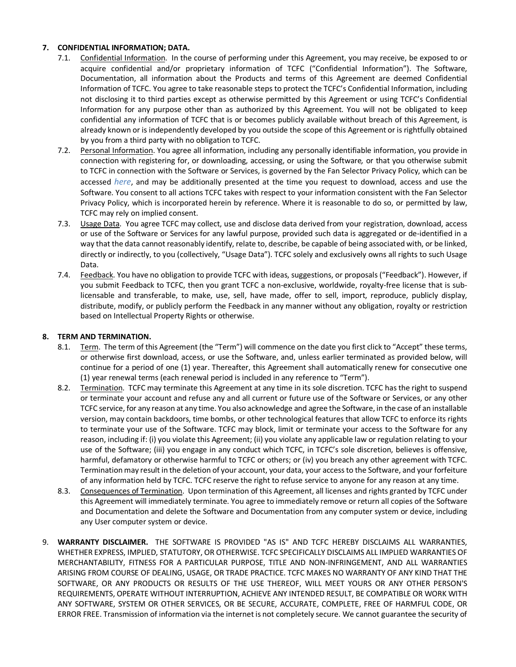# **7. CONFIDENTIAL INFORMATION; DATA.**

- 7.1. Confidential Information. In the course of performing under this Agreement, you may receive, be exposed to or acquire confidential and/or proprietary information of TCFC ("Confidential Information"). The Software, Documentation, all information about the Products and terms of this Agreement are deemed Confidential Information of TCFC. You agree to take reasonable steps to protect the TCFC's Confidential Information, including not disclosing it to third parties except as otherwise permitted by this Agreement or using TCFC's Confidential Information for any purpose other than as authorized by this Agreement. You will not be obligated to keep confidential any information of TCFC that is or becomes publicly available without breach of this Agreement, is already known or is independently developed by you outside the scope of this Agreement or is rightfully obtained by you from a third party with no obligation to TCFC.
- 7.2. Personal Information. You agree all information, including any personally identifiable information, you provide in connection with registering for, or downloading, accessing, or using the Software*,* or that you otherwise submit to TCFC in connection with the Software or Services, is governed by the Fan Selector Privacy Policy, which can be accessed *[here](https://www.aerovent.com/wp-content/uploads/sites/2/2021/12/Fan-Selector-Software-Privacy-Policy.pdf)*, and may be additionally presented at the time you request to download, access and use the Software. You consent to all actions TCFC takes with respect to your information consistent with the Fan Selector Privacy Policy, which is incorporated herein by reference. Where it is reasonable to do so, or permitted by law, TCFC may rely on implied consent.
- 7.3. Usage Data. You agree TCFC may collect, use and disclose data derived from your registration, download, access or use of the Software or Services for any lawful purpose, provided such data is aggregated or de-identified in a way that the data cannot reasonably identify, relate to, describe, be capable of being associated with, or be linked, directly or indirectly, to you (collectively, "Usage Data"). TCFC solely and exclusively owns all rights to such Usage Data.
- 7.4. Feedback. You have no obligation to provide TCFC with ideas, suggestions, or proposals ("Feedback"). However, if you submit Feedback to TCFC, then you grant TCFC a non-exclusive, worldwide, royalty-free license that is sublicensable and transferable, to make, use, sell, have made, offer to sell, import, reproduce, publicly display, distribute, modify, or publicly perform the Feedback in any manner without any obligation, royalty or restriction based on Intellectual Property Rights or otherwise.

# **8. TERM AND TERMINATION.**

- 8.1. Term. The term of this Agreement (the "Term") will commence on the date you first click to "Accept" these terms, or otherwise first download, access, or use the Software, and, unless earlier terminated as provided below, will continue for a period of one (1) year. Thereafter, this Agreement shall automatically renew for consecutive one (1) year renewal terms (each renewal period is included in any reference to "Term").
- 8.2. Termination. TCFC may terminate this Agreement at any time in its sole discretion. TCFC has the right to suspend or terminate your account and refuse any and all current or future use of the Software or Services, or any other TCFC service, for any reason at any time. You also acknowledge and agree the Software, in the case of an installable version, may contain backdoors, time bombs, or other technological features that allow TCFC to enforce its rights to terminate your use of the Software. TCFC may block, limit or terminate your access to the Software for any reason, including if: (i) you violate this Agreement; (ii) you violate any applicable law or regulation relating to your use of the Software; (iii) you engage in any conduct which TCFC, in TCFC's sole discretion, believes is offensive, harmful, defamatory or otherwise harmful to TCFC or others; or (iv) you breach any other agreement with TCFC. Termination may result in the deletion of your account, your data, your access to the Software, and your forfeiture of any information held by TCFC. TCFC reserve the right to refuse service to anyone for any reason at any time.
- 8.3. Consequences of Termination. Upon termination of this Agreement, all licenses and rights granted by TCFC under this Agreement will immediately terminate. You agree to immediately remove or return all copies of the Software and Documentation and delete the Software and Documentation from any computer system or device, including any User computer system or device.
- 9. **WARRANTY DISCLAIMER.** THE SOFTWARE IS PROVIDED "AS IS" AND TCFC HEREBY DISCLAIMS ALL WARRANTIES, WHETHER EXPRESS, IMPLIED, STATUTORY, OR OTHERWISE. TCFC SPECIFICALLY DISCLAIMS ALL IMPLIED WARRANTIES OF MERCHANTABILITY, FITNESS FOR A PARTICULAR PURPOSE, TITLE AND NON-INFRINGEMENT, AND ALL WARRANTIES ARISING FROM COURSE OF DEALING, USAGE, OR TRADE PRACTICE. TCFC MAKES NO WARRANTY OF ANY KIND THAT THE SOFTWARE, OR ANY PRODUCTS OR RESULTS OF THE USE THEREOF, WILL MEET YOURS OR ANY OTHER PERSON'S REQUIREMENTS, OPERATE WITHOUT INTERRUPTION, ACHIEVE ANY INTENDED RESULT, BE COMPATIBLE OR WORK WITH ANY SOFTWARE, SYSTEM OR OTHER SERVICES, OR BE SECURE, ACCURATE, COMPLETE, FREE OF HARMFUL CODE, OR ERROR FREE. Transmission of information via the internet is not completely secure. We cannot guarantee the security of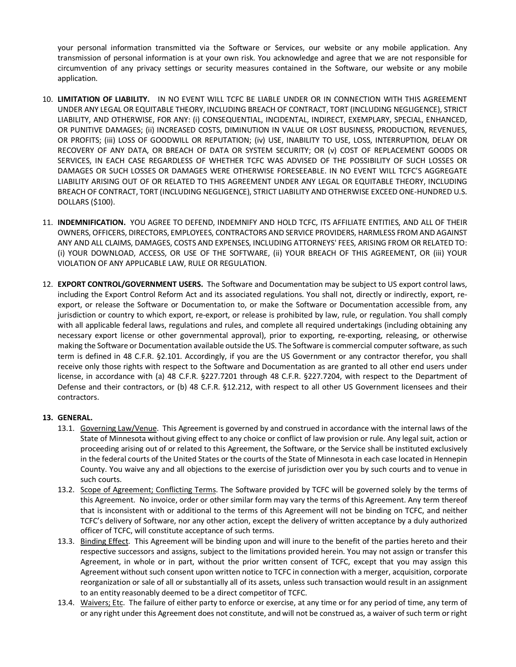your personal information transmitted via the Software or Services, our website or any mobile application. Any transmission of personal information is at your own risk. You acknowledge and agree that we are not responsible for circumvention of any privacy settings or security measures contained in the Software, our website or any mobile application.

- 10. **LIMITATION OF LIABILITY.** IN NO EVENT WILL TCFC BE LIABLE UNDER OR IN CONNECTION WITH THIS AGREEMENT UNDER ANY LEGAL OR EQUITABLE THEORY, INCLUDING BREACH OF CONTRACT, TORT (INCLUDING NEGLIGENCE), STRICT LIABILITY, AND OTHERWISE, FOR ANY: (i) CONSEQUENTIAL, INCIDENTAL, INDIRECT, EXEMPLARY, SPECIAL, ENHANCED, OR PUNITIVE DAMAGES; (ii) INCREASED COSTS, DIMINUTION IN VALUE OR LOST BUSINESS, PRODUCTION, REVENUES, OR PROFITS; (iii) LOSS OF GOODWILL OR REPUTATION; (iv) USE, INABILITY TO USE, LOSS, INTERRUPTION, DELAY OR RECOVERY OF ANY DATA, OR BREACH OF DATA OR SYSTEM SECURITY; OR (v) COST OF REPLACEMENT GOODS OR SERVICES, IN EACH CASE REGARDLESS OF WHETHER TCFC WAS ADVISED OF THE POSSIBILITY OF SUCH LOSSES OR DAMAGES OR SUCH LOSSES OR DAMAGES WERE OTHERWISE FORESEEABLE. IN NO EVENT WILL TCFC'S AGGREGATE LIABILITY ARISING OUT OF OR RELATED TO THIS AGREEMENT UNDER ANY LEGAL OR EQUITABLE THEORY, INCLUDING BREACH OF CONTRACT, TORT (INCLUDING NEGLIGENCE), STRICT LIABILITY AND OTHERWISE EXCEED ONE-HUNDRED U.S. DOLLARS (\$100).
- 11. **INDEMNIFICATION.** YOU AGREE TO DEFEND, INDEMNIFY AND HOLD TCFC, ITS AFFILIATE ENTITIES, AND ALL OF THEIR OWNERS, OFFICERS, DIRECTORS, EMPLOYEES, CONTRACTORS AND SERVICE PROVIDERS, HARMLESS FROM AND AGAINST ANY AND ALL CLAIMS, DAMAGES, COSTS AND EXPENSES, INCLUDING ATTORNEYS' FEES, ARISING FROM OR RELATED TO: (i) YOUR DOWNLOAD, ACCESS, OR USE OF THE SOFTWARE, (ii) YOUR BREACH OF THIS AGREEMENT, OR (iii) YOUR VIOLATION OF ANY APPLICABLE LAW, RULE OR REGULATION.
- 12. **EXPORT CONTROL/GOVERNMENT USERS.** The Software and Documentation may be subject to US export control laws, including the Export Control Reform Act and its associated regulations. You shall not, directly or indirectly, export, reexport, or release the Software or Documentation to, or make the Software or Documentation accessible from, any jurisdiction or country to which export, re-export, or release is prohibited by law, rule, or regulation. You shall comply with all applicable federal laws, regulations and rules, and complete all required undertakings (including obtaining any necessary export license or other governmental approval), prior to exporting, re-exporting, releasing, or otherwise making the Software or Documentation available outside the US. The Software is commercial computer software, as such term is defined in 48 C.F.R. §2.101. Accordingly, if you are the US Government or any contractor therefor, you shall receive only those rights with respect to the Software and Documentation as are granted to all other end users under license, in accordance with (a) 48 C.F.R. §227.7201 through 48 C.F.R. §227.7204, with respect to the Department of Defense and their contractors, or (b) 48 C.F.R. §12.212, with respect to all other US Government licensees and their contractors.

## **13. GENERAL.**

- 13.1. Governing Law/Venue. This Agreement is governed by and construed in accordance with the internal laws of the State of Minnesota without giving effect to any choice or conflict of law provision or rule. Any legal suit, action or proceeding arising out of or related to this Agreement, the Software, or the Service shall be instituted exclusively in the federal courts of the United States or the courts of the State of Minnesota in each case located in Hennepin County. You waive any and all objections to the exercise of jurisdiction over you by such courts and to venue in such courts.
- 13.2. Scope of Agreement; Conflicting Terms. The Software provided by TCFC will be governed solely by the terms of this Agreement. No invoice, order or other similar form may vary the terms of this Agreement. Any term thereof that is inconsistent with or additional to the terms of this Agreement will not be binding on TCFC, and neither TCFC's delivery of Software, nor any other action, except the delivery of written acceptance by a duly authorized officer of TCFC, will constitute acceptance of such terms.
- 13.3. Binding Effect. This Agreement will be binding upon and will inure to the benefit of the parties hereto and their respective successors and assigns, subject to the limitations provided herein. You may not assign or transfer this Agreement, in whole or in part, without the prior written consent of TCFC, except that you may assign this Agreement without such consent upon written notice to TCFC in connection with a merger, acquisition, corporate reorganization or sale of all or substantially all of its assets, unless such transaction would result in an assignment to an entity reasonably deemed to be a direct competitor of TCFC.
- 13.4. Waivers; Etc. The failure of either party to enforce or exercise, at any time or for any period of time, any term of or any right under this Agreement does not constitute, and will not be construed as, a waiver of such term or right